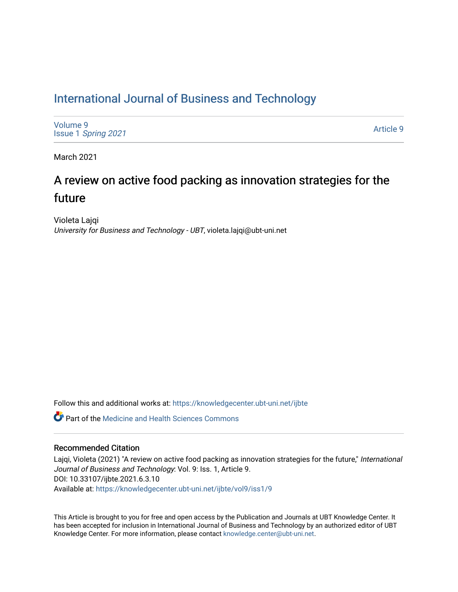## [International Journal of Business and Technology](https://knowledgecenter.ubt-uni.net/ijbte)

[Volume 9](https://knowledgecenter.ubt-uni.net/ijbte/vol9) Issue 1 [Spring 2021](https://knowledgecenter.ubt-uni.net/ijbte/vol9/iss1) 

[Article 9](https://knowledgecenter.ubt-uni.net/ijbte/vol9/iss1/9) 

March 2021

# A review on active food packing as innovation strategies for the future

Violeta Lajqi University for Business and Technology - UBT, violeta.lajqi@ubt-uni.net

Follow this and additional works at: [https://knowledgecenter.ubt-uni.net/ijbte](https://knowledgecenter.ubt-uni.net/ijbte?utm_source=knowledgecenter.ubt-uni.net%2Fijbte%2Fvol9%2Fiss1%2F9&utm_medium=PDF&utm_campaign=PDFCoverPages) 

**C** Part of the Medicine and Health Sciences Commons

### Recommended Citation

Lajqi, Violeta (2021) "A review on active food packing as innovation strategies for the future," International Journal of Business and Technology: Vol. 9: Iss. 1, Article 9. DOI: 10.33107/ijbte.2021.6.3.10 Available at: [https://knowledgecenter.ubt-uni.net/ijbte/vol9/iss1/9](https://knowledgecenter.ubt-uni.net/ijbte/vol9/iss1/9?utm_source=knowledgecenter.ubt-uni.net%2Fijbte%2Fvol9%2Fiss1%2F9&utm_medium=PDF&utm_campaign=PDFCoverPages) 

This Article is brought to you for free and open access by the Publication and Journals at UBT Knowledge Center. It has been accepted for inclusion in International Journal of Business and Technology by an authorized editor of UBT Knowledge Center. For more information, please contact [knowledge.center@ubt-uni.net](mailto:knowledge.center@ubt-uni.net).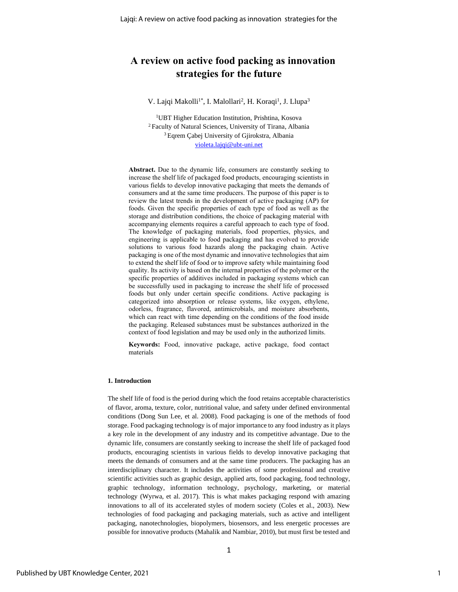### **A review on active food packing as innovation strategies for the future**

#### V. Lajqi Makolli<sup>1\*</sup>, I. Malollari<sup>2</sup>, H. Koraqi<sup>1</sup>, J. Llupa<sup>3</sup>

UBT Higher Education Institution, Prishtina, Kosova Faculty of Natural Sciences, University of Tirana, Albania Eqrem Çabej University of Gjirokstra, Albania [violeta.lajqi@ubt-uni.net](mailto:violeta.lajqi@ubt-uni.net)

**Abstract.** Due to the dynamic life, consumers are constantly seeking to increase the shelf life of packaged food products, encouraging scientists in various fields to develop innovative packaging that meets the demands of consumers and at the same time producers. The purpose of this paper is to review the latest trends in the development of active packaging (AP) for foods. Given the specific properties of each type of food as well as the storage and distribution conditions, the choice of packaging material with accompanying elements requires a careful approach to each type of food. The knowledge of packaging materials, food properties, physics, and engineering is applicable to food packaging and has evolved to provide solutions to various food hazards along the packaging chain. Active packaging is one of the most dynamic and innovative technologies that aim to extend the shelf life of food or to improve safety while maintaining food quality. Its activity is based on the internal properties of the polymer or the specific properties of additives included in packaging systems which can be successfully used in packaging to increase the shelf life of processed foods but only under certain specific conditions. Active packaging is categorized into absorption or release systems, like oxygen, ethylene, odorless, fragrance, flavored, antimicrobials, and moisture absorbents, which can react with time depending on the conditions of the food inside the packaging. Released substances must be substances authorized in the context of food legislation and may be used only in the authorized limits.

**Keywords:** Food, innovative package, active package, food contact materials

#### **1. Introduction**

The shelf life of food is the period during which the food retains acceptable characteristics of flavor, aroma, texture, color, nutritional value, and safety under defined environmental conditions (Dong Sun Lee, et al. 2008). Food packaging is one of the methods of food storage. Food packaging technology is of major importance to any food industry as it plays a key role in the development of any industry and its competitive advantage. Due to the dynamic life, consumers are constantly seeking to increase the shelf life of packaged food products, encouraging scientists in various fields to develop innovative packaging that meets the demands of consumers and at the same time producers. The packaging has an interdisciplinary character. It includes the activities of some professional and creative scientific activities such as graphic design, applied arts, food packaging, food technology, graphic technology, information technology, psychology, marketing, or material technology (Wyrwa, et al. 2017). This is what makes packaging respond with amazing innovations to all of its accelerated styles of modern society (Coles et al., 2003). New technologies of food packaging and packaging materials, such as active and intelligent packaging, nanotechnologies, biopolymers, biosensors, and less energetic processes are possible for innovative products (Mahalik and Nambiar, 2010), but must first be tested and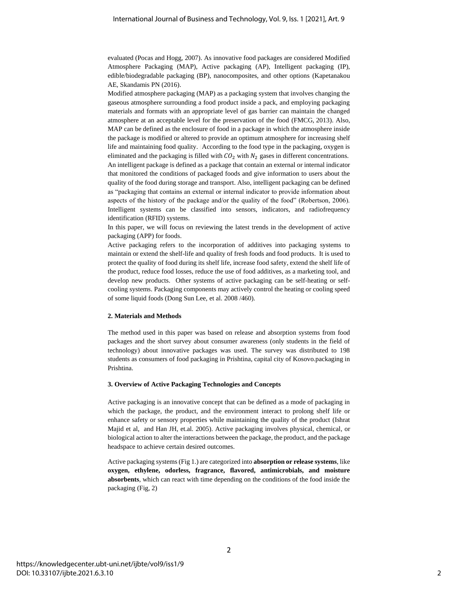evaluated (Pocas and Hogg, 2007). As innovative food packages are considered Modified Atmosphere Packaging (MAP), Active packaging (AP), Intelligent packaging (IP), edible/biodegradable packaging (BP), nanocomposites, and other options (Kapetanakou AE, Skandamis PN (2016).

Modified atmosphere packaging (MAP) as a packaging system that involves changing the gaseous atmosphere surrounding a food product inside a pack, and employing packaging materials and formats with an appropriate level of gas barrier can maintain the changed atmosphere at an acceptable level for the preservation of the food [\(FMCG,](https://www.sciencedirect.com/science/article/pii/B9780857095039500023) 2013). Also, MAP can be defined as the enclosure of food in a package in which the atmosphere inside the package is modified or altered to provide an optimum atmosphere for increasing shelf life and maintaining food quality. (According to the food type in the packaging, oxygen is eliminated and the packaging is filled with  $CO<sub>2</sub>$  with  $N<sub>2</sub>$  gases in different concentrations. An intelligent package is defined as a package that contain an external or internal indicator that monitored the conditions of packaged foods and give information to users about the quality of the food during storage and transport. Also, intelligent packaging can be defined as "packaging that contains an external or internal indicator to provide information about aspects of the history of the package and/or the quality of the food" (Robertson, 2006). Intelligent systems can be classified into sensors, indicators, and radiofrequency identification (RFID) systems.

In this paper, we will focus on reviewing the latest trends in the development of active packaging (APP) for foods.

Active packaging refers to the incorporation of additives into packaging systems to maintain or extend the shelf-life and quality of fresh foods and food products. It is used to protect the quality of food during its shelf life, increase food safety, extend the shelf life of the product, reduce food losses, reduce the use of food additives, as a marketing tool, and develop new products. Other systems of active packaging can be self-heating or selfcooling systems. Packaging components may actively control the heating or cooling speed of some liquid foods (Dong Sun Lee, et al. 2008 /460).

#### **2. Materials and Methods**

The method used in this paper was based on release and absorption systems from food packages and the short survey about consumer awareness (only students in the field of technology) about innovative packages was used. The survey was distributed to 198 students as consumers of food packaging in Prishtina, capital city of Kosovo.packaging in Prishtina.

#### **3. Overview of Active Packaging Technologies and Concepts**

Active packaging is an innovative concept that can be defined as a mode of packaging in which the package, the product, and the environment interact to prolong shelf life or enhance safety or sensory properties while maintaining the quality of the product [\(Ishrat](https://www.sciencedirect.com/science/article/pii/S1658077X16300765#!) [Majid](https://www.sciencedirect.com/science/article/pii/S1658077X16300765#!) et al, and Han JH, et.al. 2005). Active packaging involves physical, chemical, or biological action to alter the interactions between the package, the product, and the package headspace to achieve certain desired outcomes.

Active packaging systems (Fig 1.) are categorized into **absorption or release systems**, like **oxygen, ethylene, odorless, fragrance, flavored, antimicrobials, and moisture absorbents**, which can react with time depending on the conditions of the food inside the packaging (Fig, 2)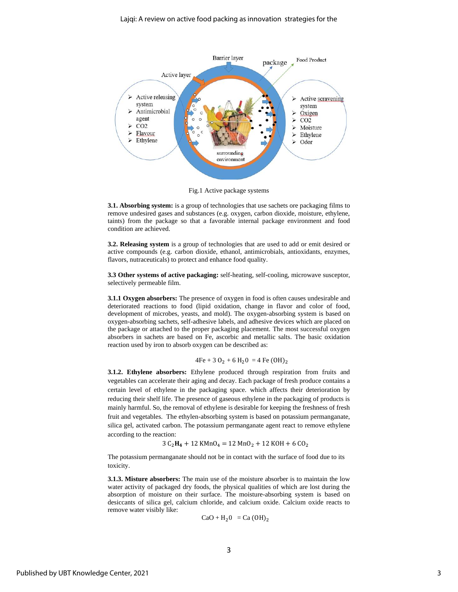

Fig.1 Active package systems

**3.1. Absorbing system:** is a group of technologies that use sachets ore packaging films to remove undesired gases and substances (e.g. oxygen, carbon dioxide, moisture, ethylene, taints) from the package so that a favorable internal package environment and food condition are achieved.

**3.2. Releasing system** is a group of technologies that are used to add or emit desired or active compounds (e.g. carbon dioxide, ethanol, antimicrobials, antioxidants, enzymes, flavors, nutraceuticals) to protect and enhance food quality.

**3.3 Other systems of active packaging:** self-heating, self-cooling, microwave susceptor, selectively permeable film.

**3.1.1 Oxygen absorbers:** The presence of oxygen in food is often causes undesirable and deteriorated reactions to food (lipid oxidation, change in flavor and color of food, development of microbes, yeasts, and mold). The oxygen-absorbing system is based on oxygen-absorbing sachets, self-adhesive labels, and adhesive devices which are placed on the package or attached to the proper packaging placement. The most successful oxygen absorbers in sachets are based on Fe, ascorbic and metallic salts. The basic oxidation reaction used by iron to absorb oxygen can be described as:

 $4Fe + 3 O_2 + 6 H_2O = 4 Fe (OH)<sub>2</sub>$ 

**3.1.2. Ethylene absorbers:** Ethylene produced through respiration from fruits and vegetables can accelerate their aging and decay. Each package of fresh produce contains a certain level of ethylene in the packaging space. which affects their deterioration by reducing their shelf life. The presence of gaseous ethylene in the packaging of products is mainly harmful. So, the removal of ethylene is desirable for keeping the freshness of fresh fruit and vegetables. The ethylen-absorbing system is based on potassium permanganate, silica gel, activated carbon. The potassium permanganate agent react to remove ethylene according to the reaction:

 $3 \text{ C}_2 \text{H}_4 + 12 \text{ K} \text{MnO}_4 = 12 \text{ MnO}_2 + 12 \text{ KOH} + 6 \text{ CO}_2$ 

The potassium permanganate should not be in contact with the surface of food due to its toxicity.

**3.1.3. Misture absorbers:** The main use of the moisture absorber is to maintain the low water activity of packaged dry foods, the physical qualities of which are lost during the absorption of moisture on their surface. The moisture-absorbing system is based on desiccants of silica gel, calcium chloride, and calcium oxide. Calcium oxide reacts to remove water visibly like:

$$
CaO + H_2O = Ca (OH)_2
$$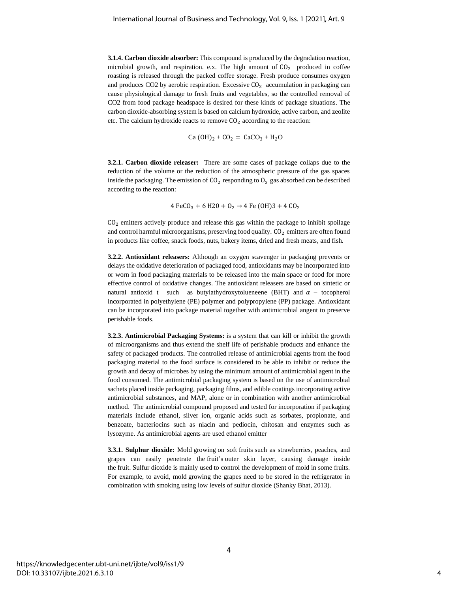**3.1.4. Carbon dioxide absorber:** This compound is produced by the degradation reaction, microbial growth, and respiration. e.x. The high amount of  $CO<sub>2</sub>$  produced in coffee roasting is released through the packed coffee storage. Fresh produce consumes oxygen and produces CO2 by aerobic respiration. Excessive  $CO<sub>2</sub>$  accumulation in packaging can cause physiological damage to fresh fruits and vegetables, so the controlled removal of CO2 from food package headspace is desired for these kinds of package situations. The carbon dioxide-absorbing system is based on calcium hydroxide, active carbon, and zeolite etc. The calcium hydroxide reacts to remove  $CO<sub>2</sub>$  according to the reaction:

$$
Ca (OH)2 + CO2 = CaCO3 + H2O
$$

**3.2.1. Carbon dioxide releaser:** There are some cases of package collaps due to the reduction of the volume or the reduction of the atmospheric pressure of the gas spaces inside the packaging. The emission of  $CO<sub>2</sub>$  responding to  $O<sub>2</sub>$  gas absorbed can be described according to the reaction:

4 FeCO<sub>3</sub> + 6 H20 + O<sub>2</sub>  $\rightarrow$  4 Fe (OH)3 + 4 CO<sub>2</sub>

 $CO<sub>2</sub>$  emitters actively produce and release this gas within the package to inhibit spoilage and control harmful microorganisms, preserving food quality.  $CO<sub>2</sub>$  emitters are often found in products like coffee, snack foods, nuts, bakery items, dried and fresh meats, and fish.

**3.2.2. Antioxidant releasers:** Although an oxygen scavenger in packaging prevents or delays the oxidative deterioration of packaged food, antioxidants may be incorporated into or worn in food packaging materials to be released into the main space or food for more effective control of oxidative changes. The antioxidant releasers are based on sintetic or natural antioxid t such as butylathydroxytolueneene (BHT) and  $\alpha$  – tocopherol incorporated in polyethylene (PE) polymer and polypropylene (PP) package. Antioxidant can be incorporated into package material together with antimicrobial angent to preserve perishable foods.

**3.2.3. Antimicrobial Packaging Systems:** is a system that can kill or inhibit the growth of microorganisms and thus extend the shelf life of perishable products and enhance the safety of packaged products. The controlled release of antimicrobial agents from the food packaging material to the food surface is considered to be able to inhibit or reduce the growth and decay of microbes by using the minimum amount of antimicrobial agent in the food consumed. The antimicrobial packaging system is based on the use of antimicrobial sachets placed inside packaging, [packaging films,](https://www.sciencedirect.com/topics/agricultural-and-biological-sciences/packaging-films) and edible coatings incorporating active antimicrobial substances, and MAP, alone or in combination with another antimicrobial method. The antimicrobial compound proposed and tested for incorporation if packaging materials include ethanol, silver ion, organic acids such as sorbates, propionate, and benzoate, bacteriocins such as niacin and pediocin, chitosan and enzymes such as lysozyme. As antimicrobial agents are used ethanol emitter

**3.3.1. Sulphur dioxide:** Mold growing on soft fruits such as strawberries, peaches, and grapes can easily penetrate the fruit's outer skin layer, causing damage inside the fruit. Sulfur dioxide is mainly used to control the development of mold in some fruits. For example, to avoid, mold growing the grapes need to be stored in the refrigerator in combination with smoking using low levels of sulfur dioxide (Shanky Bhat, 2013).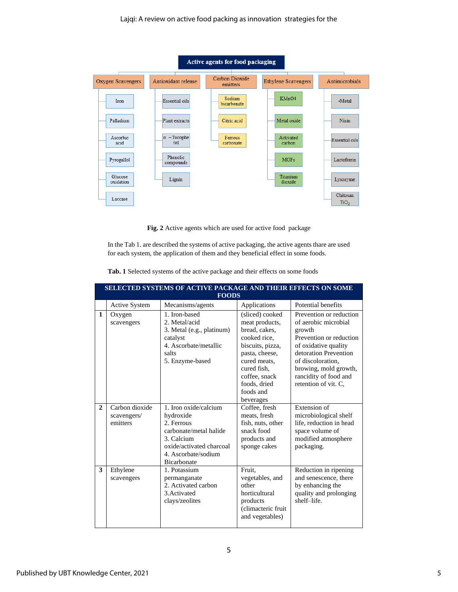

**Fig. 2** Active agents which are used for active food package

In the Tab 1. are described the systems of active packaging, the active agents thare are used for each system, the application of them and they beneficial effect in some foods.

| <b>SELECTED SYSTEMS OF ACTIVE PACKAGE AND THEIR EFFECTS ON SOME</b> |                                           |                                                                                                                                                            |                                                                                                                                                                                                    |                                                                                                                                                                                                                                      |  |  |  |
|---------------------------------------------------------------------|-------------------------------------------|------------------------------------------------------------------------------------------------------------------------------------------------------------|----------------------------------------------------------------------------------------------------------------------------------------------------------------------------------------------------|--------------------------------------------------------------------------------------------------------------------------------------------------------------------------------------------------------------------------------------|--|--|--|
| <b>FOODS</b>                                                        |                                           |                                                                                                                                                            |                                                                                                                                                                                                    |                                                                                                                                                                                                                                      |  |  |  |
|                                                                     | <b>Active System</b>                      | Mecanisms/agents                                                                                                                                           | Applications                                                                                                                                                                                       | Potential benefits                                                                                                                                                                                                                   |  |  |  |
| $\mathbf{1}$                                                        | Oxygen<br>scavengers                      | 1. Iron-based<br>2. Metal/acid<br>3. Metal (e.g., platinum)<br>catalyst<br>4. Ascorbate/metallic<br>salts<br>5. Enzyme-based                               | (sliced) cooked<br>meat products,<br>bread, cakes,<br>cooked rice,<br>biscuits, pizza,<br>pasta, cheese,<br>cured meats,<br>cured fish,<br>coffee, snack<br>foods, dried<br>foods and<br>beverages | Prevention or reduction<br>of aerobic microbial<br>growth<br>Prevention or reduction<br>of oxidative quality<br>detoration Prevention<br>of discoloration,<br>browing, mold growth,<br>rancidity of food and<br>retention of vit. C. |  |  |  |
| $\overline{2}$                                                      | Carbon dioxide<br>scavengers/<br>emitters | 1. Iron oxide/calcium<br>hydroxide<br>2. Ferrous<br>carbonate/metal halide<br>3. Calcium<br>oxide/activated charcoal<br>4. Ascorbate/sodium<br>Bicarbonate | Coffee, fresh<br>meats, fresh<br>fish, nuts, other<br>snack food<br>products and<br>sponge cakes                                                                                                   | Extension of<br>microbiological shelf<br>life, reduction in head<br>space volume of<br>modified atmosphere<br>packaging.                                                                                                             |  |  |  |
| 3                                                                   | Ethylene<br>scavengers                    | 1. Potassium<br>permanganate<br>2. Activated carbon<br>3. Activated<br>clays/zeolites                                                                      | Fruit.<br>vegetables, and<br>other<br>horticultural<br>products<br>(climacteric fruit<br>and vegetables)                                                                                           | Reduction in ripening<br>and senescence, there<br>by enhancing the<br>quality and prolonging<br>shelf-life.                                                                                                                          |  |  |  |

**Tab. 1** Selected systems of the active package and their effects on some foods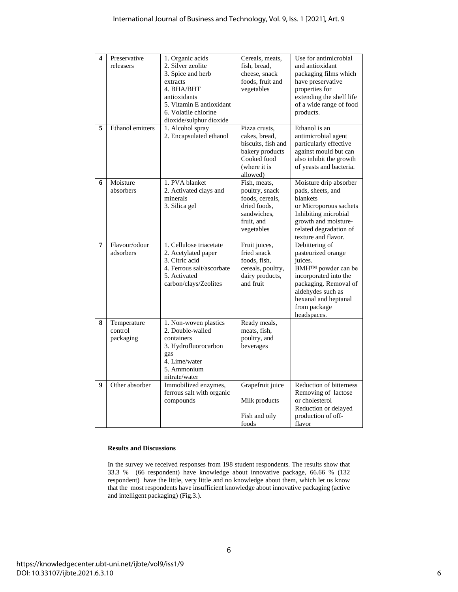| 4 | Preservative<br>releasers           | 1. Organic acids<br>2. Silver zeolite<br>3. Spice and herb<br>extracts<br>4. BHA/BHT<br>antioxidants<br>5. Vitamin E antioxidant<br>6. Volatile chlorine | Cereals, meats,<br>fish, bread,<br>cheese, snack<br>foods, fruit and<br>vegetables                                 | Use for antimicrobial<br>and antioxidant<br>packaging films which<br>have preservative<br>properties for<br>extending the shelf life<br>of a wide range of food<br>products.                                    |
|---|-------------------------------------|----------------------------------------------------------------------------------------------------------------------------------------------------------|--------------------------------------------------------------------------------------------------------------------|-----------------------------------------------------------------------------------------------------------------------------------------------------------------------------------------------------------------|
| 5 | Ethanol emitters                    | dioxide/sulphur dioxide<br>1. Alcohol spray<br>2. Encapsulated ethanol                                                                                   | Pizza crusts,<br>cakes, bread,<br>biscuits, fish and<br>bakery products<br>Cooked food<br>(where it is<br>allowed) | Ethanol is an<br>antimicrobial agent<br>particularly effective<br>against mould but can<br>also inhibit the growth<br>of yeasts and bacteria.                                                                   |
| 6 | Moisture<br>absorbers               | 1. PVA blanket<br>2. Activated clays and<br>minerals<br>3. Silica gel                                                                                    | Fish, meats,<br>poultry, snack<br>foods, cereals,<br>dried foods,<br>sandwiches,<br>fruit, and<br>vegetables       | Moisture drip absorber<br>pads, sheets, and<br>blankets<br>or Microporous sachets<br>Inhibiting microbial<br>growth and moisture-<br>related degradation of<br>texture and flavor.                              |
| 7 | Flavour/odour<br>adsorbers          | 1. Cellulose triacetate<br>2. Acetylated paper<br>3. Citric acid<br>4. Ferrous salt/ascorbate<br>5. Activated<br>carbon/clays/Zeolites                   | Fruit juices,<br>fried snack<br>foods, fish,<br>cereals, poultry,<br>dairy products,<br>and fruit                  | Debittering of<br>pasteurized orange<br>juices.<br>BMH <sup>™</sup> powder can be<br>incorporated into the<br>packaging. Removal of<br>aldehydes such as<br>hexanal and heptanal<br>from package<br>headspaces. |
| 8 | Temperature<br>control<br>packaging | 1. Non-woven plastics<br>2. Double-walled<br>containers<br>3. Hydrofluorocarbon<br>gas<br>4. Lime/water<br>5. Ammonium<br>nitrate/water                  | Ready meals,<br>meats, fish,<br>poultry, and<br>beverages                                                          |                                                                                                                                                                                                                 |
| 9 | Other absorber                      | Immobilized enzymes,<br>ferrous salt with organic<br>compounds                                                                                           | Grapefruit juice<br>Milk products<br>Fish and oily<br>foods                                                        | Reduction of bitterness<br>Removing of lactose<br>or cholesterol<br>Reduction or delayed<br>production of off-<br>flavor                                                                                        |

#### **Results and Discussions**

In the survey we received responses from 198 student respondents. The results show that 33.3 % (66 respondent) have knowledge about innovative package, 66.66 % (132 respondent) have the little, very little and no knowledge about them, which let us know that the most respondents have insufficient knowledge about innovative packaging (active and intelligent packaging) (Fig.3.).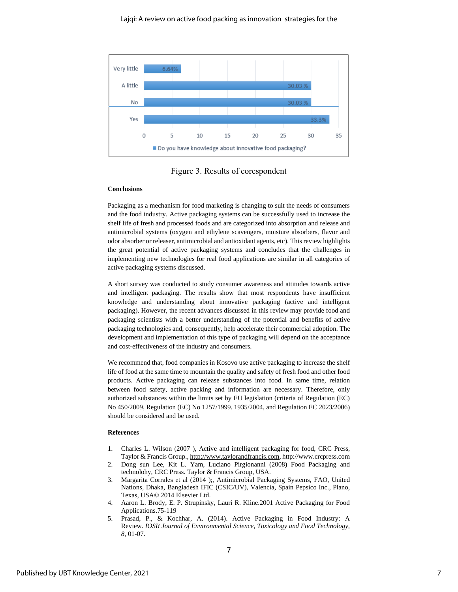

Figure 3. Results of corespondent

#### **Conclusions**

Packaging as a mechanism for food marketing is changing to suit the needs of consumers and the food industry. Active packaging systems can be successfully used to increase the shelf life of fresh and processed foods and are categorized into absorption and release and antimicrobial systems (oxygen and ethylene scavengers, moisture absorbers, flavor and odor absorber or releaser, antimicrobial and antioxidant agents, etc). This review highlights the great potential of active packaging systems and concludes that the challenges in implementing new technologies for real food applications are similar in all categories of active packaging systems discussed.

A short survey was conducted to study consumer awareness and attitudes towards active and intelligent packaging. The results show that most respondents have insufficient knowledge and understanding about innovative packaging (active and intelligent packaging). However, the recent advances discussed in this review may provide food and packaging scientists with a better understanding of the potential and benefits of active packaging technologies and, consequently, help accelerate their commercial adoption. The development and implementation of this type of packaging will depend on the acceptance and cost-effectiveness of the industry and consumers.

We recommend that, food companies in Kosovo use active packaging to increase the shelf life of food at the same time to mountain the quality and safety of fresh food and other food products. Active packaging can release substances into food. In same time, relation between food safety, active packing and information are necessary. Therefore, only authorized substances within the limits set by EU legislation (criteria of Regulation (EC) No 450/2009, Regulation (EC) No 1257/1999. 1935/2004, and Regulation EC 2023/2006) should be considered and be used.

#### **References**

- 1. Charles L. Wilson (2007 ), Active and intelligent packaging for food, CRC Press, Taylor & Francis Group.[, http://www.taylorandfrancis.com,](http://www.taylorandfrancis.com/) http://www.crcpress.com
- 2. Dong sun Lee, Kit L. Yam, Luciano Pirgionanni (2008) Food Packaging and technolohy, CRC Press. Taylor & Francis Group, USA.
- 3. Margarita Corrales et al (2014 );, Antimicrobial Packaging Systems, FAO, United Nations, Dhaka, Bangladesh IFIC (CSIC/UV), Valencia, Spain Pepsico Inc., Plano, Texas, USA© 2014 Elsevier Ltd.
- 4. Aaron L. Brody, E. P. Strupinsky, Lauri R. Kline.2001 Active Packaging for Food Applications.75-119
- 5. Prasad, P., & Kochhar, A. (2014). Active Packaging in Food Industry: A Review. *IOSR Journal of Environmental Science, Toxicology and Food Technology, 8*, 01-07.